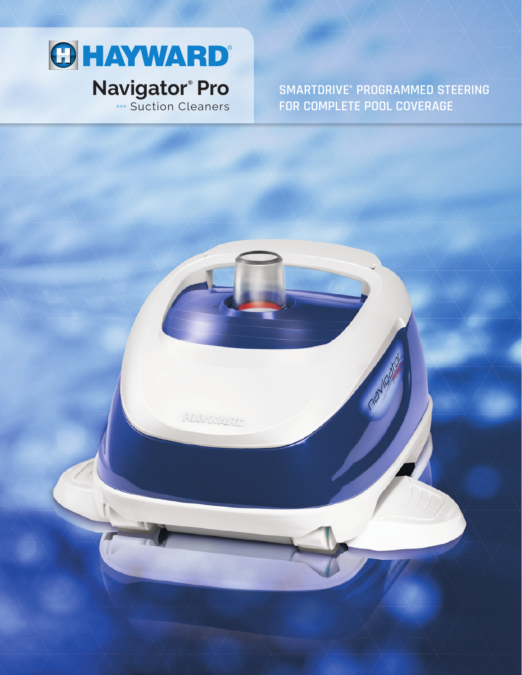

GLANDIN

SMARTDRIVE® PROGRAMMED STEERING FOR COMPLETE POOL COVERAGE

navigo